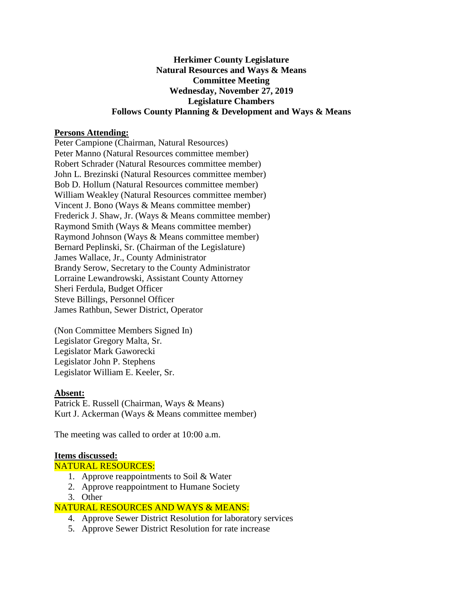### **Herkimer County Legislature Natural Resources and Ways & Means Committee Meeting Wednesday, November 27, 2019 Legislature Chambers Follows County Planning & Development and Ways & Means**

### **Persons Attending:**

Peter Campione (Chairman, Natural Resources) Peter Manno (Natural Resources committee member) Robert Schrader (Natural Resources committee member) John L. Brezinski (Natural Resources committee member) Bob D. Hollum (Natural Resources committee member) William Weakley (Natural Resources committee member) Vincent J. Bono (Ways & Means committee member) Frederick J. Shaw, Jr. (Ways & Means committee member) Raymond Smith (Ways & Means committee member) Raymond Johnson (Ways & Means committee member) Bernard Peplinski, Sr. (Chairman of the Legislature) James Wallace, Jr., County Administrator Brandy Serow, Secretary to the County Administrator Lorraine Lewandrowski, Assistant County Attorney Sheri Ferdula, Budget Officer Steve Billings, Personnel Officer James Rathbun, Sewer District, Operator

(Non Committee Members Signed In) Legislator Gregory Malta, Sr. Legislator Mark Gaworecki Legislator John P. Stephens Legislator William E. Keeler, Sr.

#### **Absent:**

Patrick E. Russell (Chairman, Ways & Means) Kurt J. Ackerman (Ways & Means committee member)

The meeting was called to order at 10:00 a.m.

#### **Items discussed:**

NATURAL RESOURCES:

- 1. Approve reappointments to Soil & Water
- 2. Approve reappointment to Humane Society
- 3. Other

## NATURAL RESOURCES AND WAYS & MEANS:

- 4. Approve Sewer District Resolution for laboratory services
- 5. Approve Sewer District Resolution for rate increase